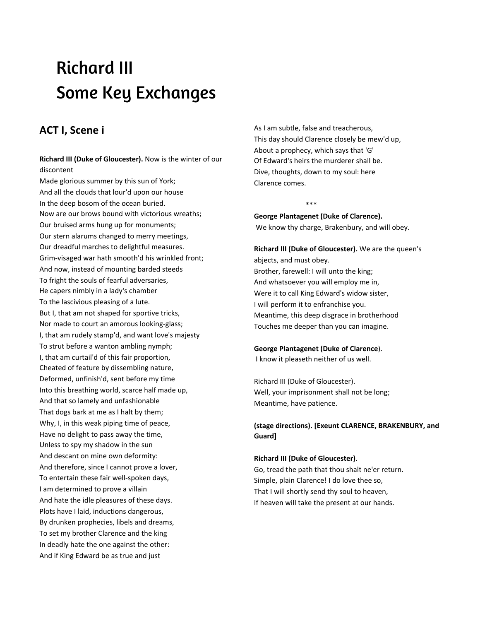# Richard III Some Key Exchanges

### **ACT I, Scene i**

**Richard III (Duke of Gloucester).** Now is the winter of our discontent

Made glorious summer by this sun of York; And all the clouds that lour'd upon our house In the deep bosom of the ocean buried. Now are our brows bound with victorious wreaths; Our bruised arms hung up for monuments; Our stern alarums changed to merry meetings, Our dreadful marches to delightful measures. Grim-visaged war hath smooth'd his wrinkled front; And now, instead of mounting barded steeds To fright the souls of fearful adversaries, He capers nimbly in a lady's chamber To the lascivious pleasing of a lute. But I, that am not shaped for sportive tricks, Nor made to court an amorous looking-glass; I, that am rudely stamp'd, and want love's majesty To strut before a wanton ambling nymph; I, that am curtail'd of this fair proportion, Cheated of feature by dissembling nature, Deformed, unfinish'd, sent before my time Into this breathing world, scarce half made up, And that so lamely and unfashionable That dogs bark at me as I halt by them; Why, I, in this weak piping time of peace, Have no delight to pass away the time, Unless to spy my shadow in the sun And descant on mine own deformity: And therefore, since I cannot prove a lover, To entertain these fair well-spoken days, I am determined to prove a villain And hate the idle pleasures of these days. Plots have I laid, inductions dangerous, By drunken prophecies, libels and dreams, To set my brother Clarence and the king In deadly hate the one against the other: And if King Edward be as true and just

As I am subtle, false and treacherous, This day should Clarence closely be mew'd up, About a prophecy, which says that 'G' Of Edward's heirs the murderer shall be. Dive, thoughts, down to my soul: here Clarence comes.

**George Plantagenet (Duke of Clarence).** We know thy charge, Brakenbury, and will obey.

\*\*\*

**Richard III (Duke of Gloucester).** We are the queen's abjects, and must obey. Brother, farewell: I will unto the king; And whatsoever you will employ me in, Were it to call King Edward's widow sister, I will perform it to enfranchise you. Meantime, this deep disgrace in brotherhood Touches me deeper than you can imagine.

#### **George Plantagenet (Duke of Clarence**).

I know it pleaseth neither of us well.

Richard III (Duke of Gloucester). Well, your imprisonment shall not be long; Meantime, have patience.

### **(stage directions). [Exeunt CLARENCE, BRAKENBURY, and Guard]**

#### **Richard III (Duke of Gloucester)**.

Go, tread the path that thou shalt ne'er return. Simple, plain Clarence! I do love thee so, That I will shortly send thy soul to heaven, If heaven will take the present at our hands.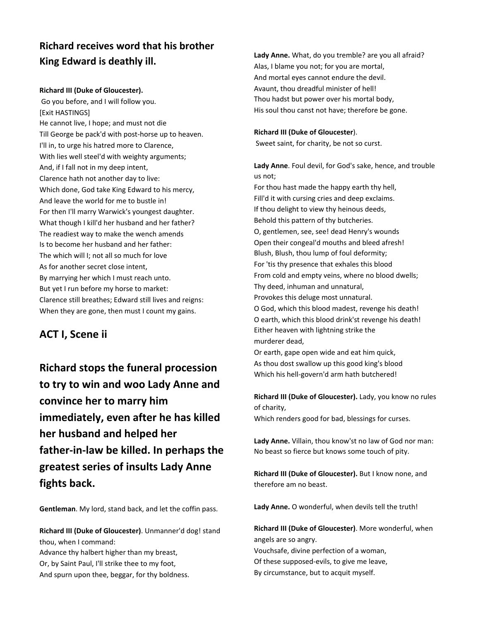# **Richard receives word that his brother King Edward is deathly ill.**

### **Richard III (Duke of Gloucester).**

Go you before, and I will follow you. [Exit HASTINGS] He cannot live, I hope; and must not die Till George be pack'd with post-horse up to heaven. I'll in, to urge his hatred more to Clarence, With lies well steel'd with weighty arguments; And, if I fall not in my deep intent, Clarence hath not another day to live: Which done, God take King Edward to his mercy, And leave the world for me to bustle in! For then I'll marry Warwick's youngest daughter. What though I kill'd her husband and her father? The readiest way to make the wench amends Is to become her husband and her father: The which will I; not all so much for love As for another secret close intent, By marrying her which I must reach unto. But yet I run before my horse to market: Clarence still breathes; Edward still lives and reigns: When they are gone, then must I count my gains.

### **ACT I, Scene ii**

**Richard stops the funeral procession to try to win and woo Lady Anne and convince her to marry him immediately, even after he has killed her husband and helped her father-in-law be killed. In perhaps the greatest series of insults Lady Anne fights back.**

**Gentleman**. My lord, stand back, and let the coffin pass.

**Richard III (Duke of Gloucester)**. Unmanner'd dog! stand thou, when I command: Advance thy halbert higher than my breast, Or, by Saint Paul, I'll strike thee to my foot, And spurn upon thee, beggar, for thy boldness.

**Lady Anne.** What, do you tremble? are you all afraid? Alas, I blame you not; for you are mortal, And mortal eyes cannot endure the devil. Avaunt, thou dreadful minister of hell! Thou hadst but power over his mortal body, His soul thou canst not have; therefore be gone.

### **Richard III (Duke of Gloucester**).

Sweet saint, for charity, be not so curst.

**Lady Anne**. Foul devil, for God's sake, hence, and trouble us not; For thou hast made the happy earth thy hell, Fill'd it with cursing cries and deep exclaims. If thou delight to view thy heinous deeds, Behold this pattern of thy butcheries. O, gentlemen, see, see! dead Henry's wounds Open their congeal'd mouths and bleed afresh! Blush, Blush, thou lump of foul deformity; For 'tis thy presence that exhales this blood From cold and empty veins, where no blood dwells; Thy deed, inhuman and unnatural, Provokes this deluge most unnatural. O God, which this blood madest, revenge his death! O earth, which this blood drink'st revenge his death! Either heaven with lightning strike the murderer dead, Or earth, gape open wide and eat him quick, As thou dost swallow up this good king's blood

**Richard III (Duke of Gloucester).** Lady, you know no rules of charity,

Which renders good for bad, blessings for curses.

Which his hell-govern'd arm hath butchered!

**Lady Anne.** Villain, thou know'st no law of God nor man: No beast so fierce but knows some touch of pity.

**Richard III (Duke of Gloucester).** But I know none, and therefore am no beast.

**Lady Anne.** O wonderful, when devils tell the truth!

**Richard III (Duke of Gloucester)**. More wonderful, when angels are so angry. Vouchsafe, divine perfection of a woman, Of these supposed-evils, to give me leave, By circumstance, but to acquit myself.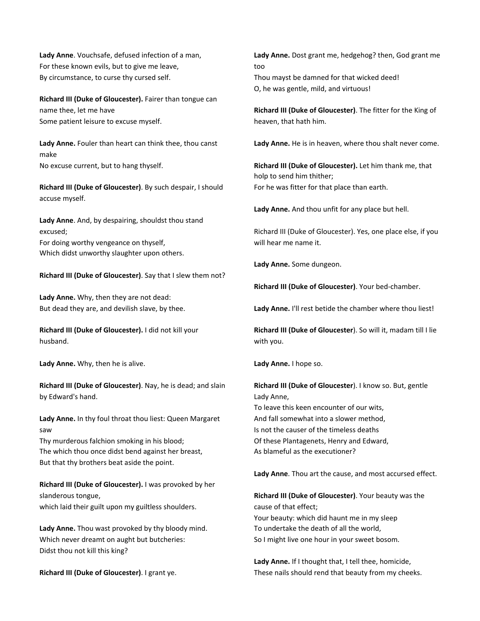**Lady Anne**. Vouchsafe, defused infection of a man, For these known evils, but to give me leave, By circumstance, to curse thy cursed self.

**Richard III (Duke of Gloucester).** Fairer than tongue can name thee, let me have Some patient leisure to excuse myself.

**Lady Anne.** Fouler than heart can think thee, thou canst make No excuse current, but to hang thyself.

**Richard III (Duke of Gloucester)**. By such despair, I should accuse myself.

**Lady Anne**. And, by despairing, shouldst thou stand excused; For doing worthy vengeance on thyself, Which didst unworthy slaughter upon others.

**Richard III (Duke of Gloucester)**. Say that I slew them not?

**Lady Anne.** Why, then they are not dead: But dead they are, and devilish slave, by thee.

**Richard III (Duke of Gloucester).** I did not kill your husband.

**Lady Anne.** Why, then he is alive.

**Richard III (Duke of Gloucester)**. Nay, he is dead; and slain by Edward's hand.

**Lady Anne.** In thy foul throat thou liest: Queen Margaret saw

Thy murderous falchion smoking in his blood; The which thou once didst bend against her breast, But that thy brothers beat aside the point.

**Richard III (Duke of Gloucester).** I was provoked by her slanderous tongue, which laid their guilt upon my guiltless shoulders.

**Lady Anne.** Thou wast provoked by thy bloody mind. Which never dreamt on aught but butcheries: Didst thou not kill this king?

**Richard III (Duke of Gloucester)**. I grant ye.

**Lady Anne.** Dost grant me, hedgehog? then, God grant me too Thou mayst be damned for that wicked deed! O, he was gentle, mild, and virtuous!

**Richard III (Duke of Gloucester)**. The fitter for the King of heaven, that hath him.

**Lady Anne.** He is in heaven, where thou shalt never come.

**Richard III (Duke of Gloucester).** Let him thank me, that holp to send him thither; For he was fitter for that place than earth.

**Lady Anne.** And thou unfit for any place but hell.

Richard III (Duke of Gloucester). Yes, one place else, if you will hear me name it.

**Lady Anne.** Some dungeon.

**Richard III (Duke of Gloucester)**. Your bed-chamber.

**Lady Anne.** I'll rest betide the chamber where thou liest!

**Richard III (Duke of Gloucester**). So will it, madam till I lie with you.

**Lady Anne.** I hope so.

**Richard III (Duke of Gloucester**). I know so. But, gentle Lady Anne, To leave this keen encounter of our wits, And fall somewhat into a slower method, Is not the causer of the timeless deaths Of these Plantagenets, Henry and Edward, As blameful as the executioner?

**Lady Anne**. Thou art the cause, and most accursed effect.

**Richard III (Duke of Gloucester)**. Your beauty was the cause of that effect; Your beauty: which did haunt me in my sleep To undertake the death of all the world, So I might live one hour in your sweet bosom.

**Lady Anne.** If I thought that, I tell thee, homicide, These nails should rend that beauty from my cheeks.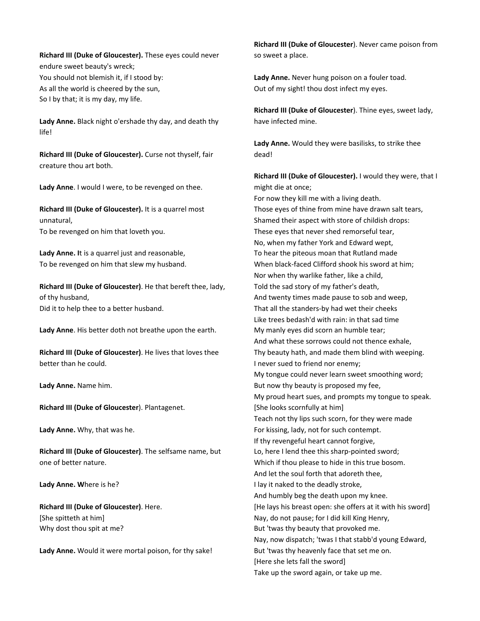**Richard III (Duke of Gloucester).** These eyes could never endure sweet beauty's wreck; You should not blemish it, if I stood by: As all the world is cheered by the sun, So I by that; it is my day, my life.

**Lady Anne.** Black night o'ershade thy day, and death thy life!

**Richard III (Duke of Gloucester).** Curse not thyself, fair creature thou art both.

**Lady Anne**. I would I were, to be revenged on thee.

**Richard III (Duke of Gloucester).** It is a quarrel most unnatural, To be revenged on him that loveth you.

**Lady Anne. I**t is a quarrel just and reasonable, To be revenged on him that slew my husband.

**Richard III (Duke of Gloucester)**. He that bereft thee, lady, of thy husband, Did it to help thee to a better husband.

**Lady Anne**. His better doth not breathe upon the earth.

**Richard III (Duke of Gloucester)**. He lives that loves thee better than he could.

**Lady Anne.** Name him.

**Richard III (Duke of Gloucester**). Plantagenet.

**Lady Anne.** Why, that was he.

**Richard III (Duke of Gloucester)**. The selfsame name, but one of better nature.

**Lady Anne. W**here is he?

**Richard III (Duke of Gloucester)**. Here. [She spitteth at him] Why dost thou spit at me?

**Lady Anne.** Would it were mortal poison, for thy sake!

**Richard III (Duke of Gloucester**). Never came poison from so sweet a place.

**Lady Anne.** Never hung poison on a fouler toad. Out of my sight! thou dost infect my eyes.

**Richard III (Duke of Gloucester**). Thine eyes, sweet lady, have infected mine.

**Lady Anne.** Would they were basilisks, to strike thee dead!

**Richard III (Duke of Gloucester).** I would they were, that I might die at once;

For now they kill me with a living death. Those eyes of thine from mine have drawn salt tears, Shamed their aspect with store of childish drops: These eyes that never shed remorseful tear, No, when my father York and Edward wept, To hear the piteous moan that Rutland made When black-faced Clifford shook his sword at him; Nor when thy warlike father, like a child, Told the sad story of my father's death, And twenty times made pause to sob and weep, That all the standers-by had wet their cheeks Like trees bedash'd with rain: in that sad time My manly eyes did scorn an humble tear; And what these sorrows could not thence exhale, Thy beauty hath, and made them blind with weeping. I never sued to friend nor enemy; My tongue could never learn sweet smoothing word; But now thy beauty is proposed my fee, My proud heart sues, and prompts my tongue to speak. [She looks scornfully at him] Teach not thy lips such scorn, for they were made For kissing, lady, not for such contempt. If thy revengeful heart cannot forgive, Lo, here I lend thee this sharp-pointed sword; Which if thou please to hide in this true bosom. And let the soul forth that adoreth thee, I lay it naked to the deadly stroke, And humbly beg the death upon my knee. [He lays his breast open: she offers at it with his sword] Nay, do not pause; for I did kill King Henry, But 'twas thy beauty that provoked me. Nay, now dispatch; 'twas I that stabb'd young Edward, But 'twas thy heavenly face that set me on. [Here she lets fall the sword] Take up the sword again, or take up me.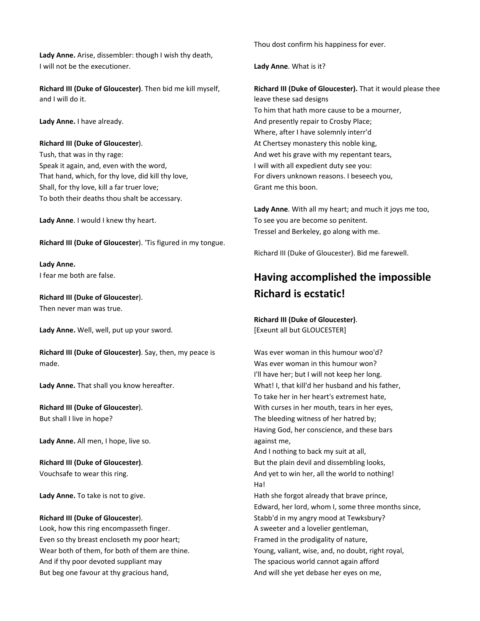**Lady Anne.** Arise, dissembler: though I wish thy death, I will not be the executioner.

**Richard III (Duke of Gloucester)**. Then bid me kill myself, and I will do it.

**Lady Anne.** I have already.

#### **Richard III (Duke of Gloucester**).

Tush, that was in thy rage: Speak it again, and, even with the word, That hand, which, for thy love, did kill thy love, Shall, for thy love, kill a far truer love; To both their deaths thou shalt be accessary.

**Lady Anne**. I would I knew thy heart.

**Richard III (Duke of Gloucester**). 'Tis figured in my tongue.

**Lady Anne.** I fear me both are false.

**Richard III (Duke of Gloucester**). Then never man was true.

**Lady Anne.** Well, well, put up your sword.

**Richard III (Duke of Gloucester)**. Say, then, my peace is made.

**Lady Anne.** That shall you know hereafter.

**Richard III (Duke of Gloucester**). But shall I live in hope?

**Lady Anne.** All men, I hope, live so.

**Richard III (Duke of Gloucester)**. Vouchsafe to wear this ring.

**Lady Anne.** To take is not to give.

#### **Richard III (Duke of Gloucester**).

Look, how this ring encompasseth finger. Even so thy breast encloseth my poor heart; Wear both of them, for both of them are thine. And if thy poor devoted suppliant may But beg one favour at thy gracious hand,

Thou dost confirm his happiness for ever.

**Lady Anne**. What is it?

**Richard III (Duke of Gloucester).** That it would please thee leave these sad designs To him that hath more cause to be a mourner, And presently repair to Crosby Place; Where, after I have solemnly interr'd At Chertsey monastery this noble king, And wet his grave with my repentant tears, I will with all expedient duty see you: For divers unknown reasons. I beseech you, Grant me this boon.

**Lady Anne**. With all my heart; and much it joys me too, To see you are become so penitent. Tressel and Berkeley, go along with me.

Richard III (Duke of Gloucester). Bid me farewell.

# **Having accomplished the impossible Richard is ecstatic!**

**Richard III (Duke of Gloucester)**. [Exeunt all but GLOUCESTER]

Was ever woman in this humour woo'd? Was ever woman in this humour won? I'll have her; but I will not keep her long. What! I, that kill'd her husband and his father, To take her in her heart's extremest hate, With curses in her mouth, tears in her eyes, The bleeding witness of her hatred by; Having God, her conscience, and these bars against me, And I nothing to back my suit at all, But the plain devil and dissembling looks, And yet to win her, all the world to nothing! Ha! Hath she forgot already that brave prince, Edward, her lord, whom I, some three months since, Stabb'd in my angry mood at Tewksbury? A sweeter and a lovelier gentleman, Framed in the prodigality of nature, Young, valiant, wise, and, no doubt, right royal, The spacious world cannot again afford And will she yet debase her eyes on me,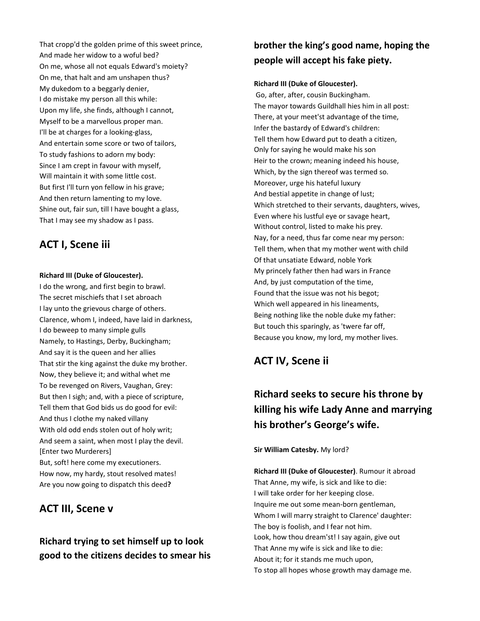That cropp'd the golden prime of this sweet prince, And made her widow to a woful bed? On me, whose all not equals Edward's moiety? On me, that halt and am unshapen thus? My dukedom to a beggarly denier, I do mistake my person all this while: Upon my life, she finds, although I cannot, Myself to be a marvellous proper man. I'll be at charges for a looking-glass, And entertain some score or two of tailors, To study fashions to adorn my body: Since I am crept in favour with myself, Will maintain it with some little cost. But first I'll turn yon fellow in his grave; And then return lamenting to my love. Shine out, fair sun, till I have bought a glass, That I may see my shadow as I pass.

# **ACT I, Scene iii**

### **Richard III (Duke of Gloucester).**

I do the wrong, and first begin to brawl. The secret mischiefs that I set abroach I lay unto the grievous charge of others. Clarence, whom I, indeed, have laid in darkness, I do beweep to many simple gulls Namely, to Hastings, Derby, Buckingham; And say it is the queen and her allies That stir the king against the duke my brother. Now, they believe it; and withal whet me To be revenged on Rivers, Vaughan, Grey: But then I sigh; and, with a piece of scripture, Tell them that God bids us do good for evil: And thus I clothe my naked villany With old odd ends stolen out of holy writ; And seem a saint, when most I play the devil. [Enter two Murderers] But, soft! here come my executioners. How now, my hardy, stout resolved mates! Are you now going to dispatch this deed**?**

### **ACT III, Scene v**

### **Richard trying to set himself up to look good to the citizens decides to smear his**

# **brother the king's good name, hoping the people will accept his fake piety.**

### **Richard III (Duke of Gloucester).**

Go, after, after, cousin Buckingham. The mayor towards Guildhall hies him in all post: There, at your meet'st advantage of the time, Infer the bastardy of Edward's children: Tell them how Edward put to death a citizen, Only for saying he would make his son Heir to the crown; meaning indeed his house, Which, by the sign thereof was termed so. Moreover, urge his hateful luxury And bestial appetite in change of lust; Which stretched to their servants, daughters, wives, Even where his lustful eye or savage heart, Without control, listed to make his prey. Nay, for a need, thus far come near my person: Tell them, when that my mother went with child Of that unsatiate Edward, noble York My princely father then had wars in France And, by just computation of the time, Found that the issue was not his begot; Which well appeared in his lineaments, Being nothing like the noble duke my father: But touch this sparingly, as 'twere far off, Because you know, my lord, my mother lives.

# **ACT IV, Scene ii**

# **Richard seeks to secure his throne by killing his wife Lady Anne and marrying his brother's George's wife.**

**Sir William Catesby.** My lord?

**Richard III (Duke of Gloucester)**. Rumour it abroad That Anne, my wife, is sick and like to die: I will take order for her keeping close. Inquire me out some mean-born gentleman, Whom I will marry straight to Clarence' daughter: The boy is foolish, and I fear not him. Look, how thou dream'st! I say again, give out That Anne my wife is sick and like to die: About it; for it stands me much upon, To stop all hopes whose growth may damage me.